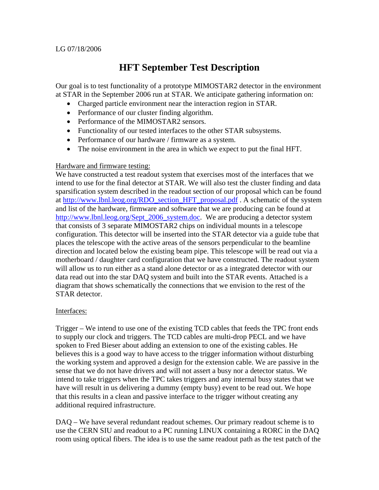# LG 07/18/2006

# **HFT September Test Description**

Our goal is to test functionality of a prototype MIMOSTAR2 detector in the environment at STAR in the September 2006 run at STAR. We anticipate gathering information on:

- Charged particle environment near the interaction region in STAR.
- Performance of our cluster finding algorithm.
- Performance of the MIMOSTAR2 sensors.
- Functionality of our tested interfaces to the other STAR subsystems.
- Performance of our hardware / firmware as a system.
- The noise environment in the area in which we expect to put the final HFT.

## Hardware and firmware testing:

We have constructed a test readout system that exercises most of the interfaces that we intend to use for the final detector at STAR. We will also test the cluster finding and data sparsification system described in the readout section of our proposal which can be found at http://www.lbnl.leog.org/RDO\_section\_HFT\_proposal.pdf . A schematic of the system and list of the hardware, firmware and software that we are producing can be found at http://www.lbnl.leog.org/Sept\_2006\_system.doc. We are producing a detector system that consists of 3 separate MIMOSTAR2 chips on individual mounts in a telescope configuration. This detector will be inserted into the STAR detector via a guide tube that places the telescope with the active areas of the sensors perpendicular to the beamline direction and located below the existing beam pipe. This telescope will be read out via a motherboard / daughter card configuration that we have constructed. The readout system will allow us to run either as a stand alone detector or as a integrated detector with our data read out into the star DAQ system and built into the STAR events. Attached is a diagram that shows schematically the connections that we envision to the rest of the STAR detector.

## Interfaces:

Trigger – We intend to use one of the existing TCD cables that feeds the TPC front ends to supply our clock and triggers. The TCD cables are multi-drop PECL and we have spoken to Fred Bieser about adding an extension to one of the existing cables. He believes this is a good way to have access to the trigger information without disturbing the working system and approved a design for the extension cable. We are passive in the sense that we do not have drivers and will not assert a busy nor a detector status. We intend to take triggers when the TPC takes triggers and any internal busy states that we have will result in us delivering a dummy (empty busy) event to be read out. We hope that this results in a clean and passive interface to the trigger without creating any additional required infrastructure.

DAQ – We have several redundant readout schemes. Our primary readout scheme is to use the CERN SIU and readout to a PC running LINUX containing a RORC in the DAQ room using optical fibers. The idea is to use the same readout path as the test patch of the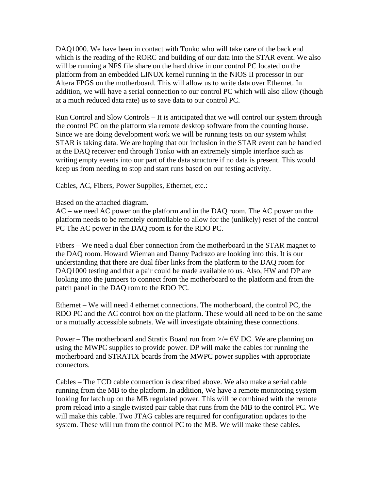DAQ1000. We have been in contact with Tonko who will take care of the back end which is the reading of the RORC and building of our data into the STAR event. We also will be running a NFS file share on the hard drive in our control PC located on the platform from an embedded LINUX kernel running in the NIOS II processor in our Altera FPGS on the motherboard. This will allow us to write data over Ethernet. In addition, we will have a serial connection to our control PC which will also allow (though at a much reduced data rate) us to save data to our control PC.

Run Control and Slow Controls – It is anticipated that we will control our system through the control PC on the platform via remote desktop software from the counting house. Since we are doing development work we will be running tests on our system whilst STAR is taking data. We are hoping that our inclusion in the STAR event can be handled at the DAQ receiver end through Tonko with an extremely simple interface such as writing empty events into our part of the data structure if no data is present. This would keep us from needing to stop and start runs based on our testing activity.

Cables, AC, Fibers, Power Supplies, Ethernet, etc.:

#### Based on the attached diagram.

AC – we need AC power on the platform and in the DAQ room. The AC power on the platform needs to be remotely controllable to allow for the (unlikely) reset of the control PC The AC power in the DAQ room is for the RDO PC.

Fibers – We need a dual fiber connection from the motherboard in the STAR magnet to the DAQ room. Howard Wieman and Danny Padrazo are looking into this. It is our understanding that there are dual fiber links from the platform to the DAQ room for DAQ1000 testing and that a pair could be made available to us. Also, HW and DP are looking into the jumpers to connect from the motherboard to the platform and from the patch panel in the DAQ rom to the RDO PC.

Ethernet – We will need 4 ethernet connections. The motherboard, the control PC, the RDO PC and the AC control box on the platform. These would all need to be on the same or a mutually accessible subnets. We will investigate obtaining these connections.

Power – The motherboard and Stratix Board run from  $\ge$  = 6V DC. We are planning on using the MWPC supplies to provide power. DP will make the cables for running the motherboard and STRATIX boards from the MWPC power supplies with appropriate connectors.

Cables – The TCD cable connection is described above. We also make a serial cable running from the MB to the platform. In addition, We have a remote monitoring system looking for latch up on the MB regulated power. This will be combined with the remote prom reload into a single twisted pair cable that runs from the MB to the control PC. We will make this cable. Two JTAG cables are required for configuration updates to the system. These will run from the control PC to the MB. We will make these cables.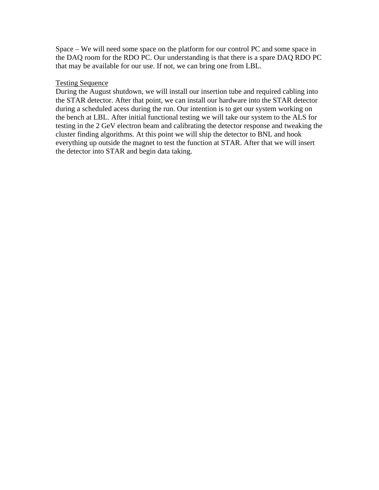Space – We will need some space on the platform for our control PC and some space in the DAQ room for the RDO PC. Our understanding is that there is a spare DAQ RDO PC that may be available for our use. If not, we can bring one from LBL.

#### Testing Sequence

During the August shutdown, we will install our insertion tube and required cabling into the STAR detector. After that point, we can install our hardware into the STAR detector during a scheduled acess during the run. Our intention is to get our system working on the bench at LBL. After initial functional testing we will take our system to the ALS for testing in the 2 GeV electron beam and calibrating the detector response and tweaking the cluster finding algorithms. At this point we will ship the detector to BNL and hook everything up outside the magnet to test the function at STAR. After that we will insert the detector into STAR and begin data taking.